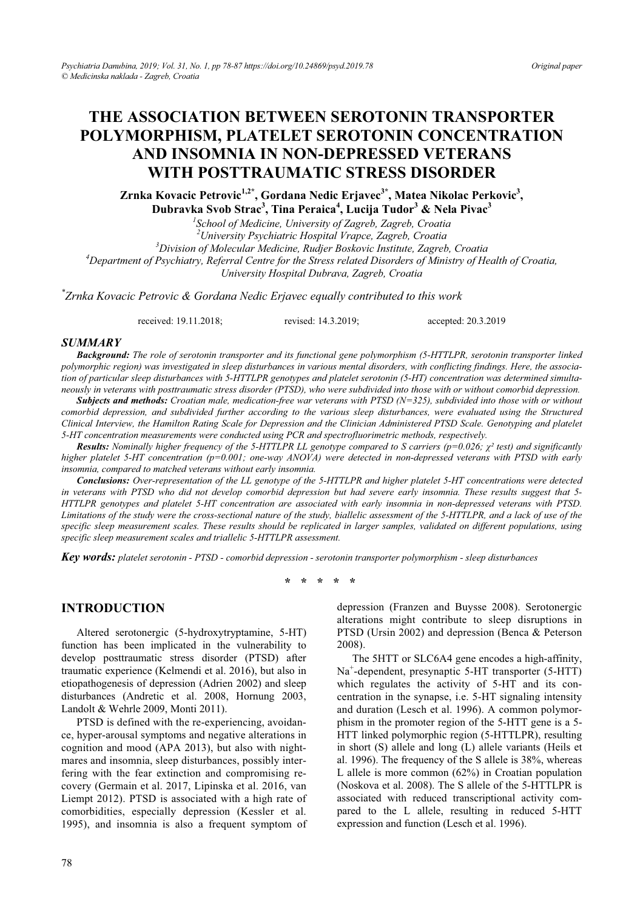# **THE ASSOCIATION BETWEEN SEROTONIN TRANSPORTER POLYMORPHISM, PLATELET SEROTONIN CONCENTRATION AND INSOMNIA IN NON-DEPRESSED VETERANS WITH POSTTRAUMATIC STRESS DISORDER**

Zrnka Kovacic Petrovic<sup>1,2\*</sup>, Gordana Nedic Erjavec<sup>3\*</sup>, Matea Nikolac Perkovic<sup>3</sup>, **Dubravka Svob Strac3 , Tina Peraica<sup>4</sup> , Lucija Tudor<sup>3</sup> & Nela Pivac3**

*1 School of Medicine, University of Zagreb, Zagreb, Croatia* 

*2 University Psychiatric Hospital Vrapce, Zagreb, Croatia 3*

*Division of Molecular Medicine, Rudjer Boskovic Institute, Zagreb, Croatia 4*

*Department of Psychiatry, Referral Centre for the Stress related Disorders of Ministry of Health of Croatia,* 

*University Hospital Dubrava, Zagreb, Croatia* 

*\* Zrnka Kovacic Petrovic & Gordana Nedic Erjavec equally contributed to this work* 

received: 19.11.2018; revised: 14.3.2019; accepted: 20.3.2019

#### *SUMMARY*

*Background: The role of serotonin transporter and its functional gene polymorphism (5-HTTLPR, serotonin transporter linked polymorphic region) was investigated in sleep disturbances in various mental disorders, with conflicting findings. Here, the association of particular sleep disturbances with 5-HTTLPR genotypes and platelet serotonin (5-HT) concentration was determined simultaneously in veterans with posttraumatic stress disorder (PTSD), who were subdivided into those with or without comorbid depression.*

*Subjects and methods: Croatian male, medication-free war veterans with PTSD (N=325), subdivided into those with or without comorbid depression, and subdivided further according to the various sleep disturbances, were evaluated using the Structured Clinical Interview, the Hamilton Rating Scale for Depression and the Clinician Administered PTSD Scale. Genotyping and platelet 5-HT concentration measurements were conducted using PCR and spectrofluorimetric methods, respectively.* 

*Results: Nominally higher frequency of the 5-HTTLPR LL genotype compared to S carriers (p=0.026; Ȥ² test) and significantly higher platelet 5-HT concentration (p=0.001; one-way ANOVA) were detected in non-depressed veterans with PTSD with early insomnia, compared to matched veterans without early insomnia.* 

*Conclusions: Over-representation of the LL genotype of the 5-HTTLPR and higher platelet 5-HT concentrations were detected in veterans with PTSD who did not develop comorbid depression but had severe early insomnia. These results suggest that 5- HTTLPR genotypes and platelet 5-HT concentration are associated with early insomnia in non-depressed veterans with PTSD. Limitations of the study were the cross-sectional nature of the study, biallelic assessment of the 5-HTTLPR, and a lack of use of the specific sleep measurement scales. These results should be replicated in larger samples, validated on different populations, using specific sleep measurement scales and triallelic 5-HTTLPR assessment.* 

*Key words: platelet serotonin - PTSD - comorbid depression - serotonin transporter polymorphism - sleep disturbances* 

**\* \* \* \* \*** 

# **INTRODUCTION**

Altered serotonergic (5-hydroxytryptamine, 5-HT) function has been implicated in the vulnerability to develop posttraumatic stress disorder (PTSD) after traumatic experience (Kelmendi et al. 2016), but also in etiopathogenesis of depression (Adrien 2002) and sleep disturbances (Andretic et al. 2008, Hornung 2003, Landolt & Wehrle 2009, Monti 2011).

PTSD is defined with the re-experiencing, avoidance, hyper-arousal symptoms and negative alterations in cognition and mood (APA 2013), but also with nightmares and insomnia, sleep disturbances, possibly interfering with the fear extinction and compromising recovery (Germain et al. 2017, Lipinska et al. 2016, van Liempt 2012). PTSD is associated with a high rate of comorbidities, especially depression (Kessler et al. 1995), and insomnia is also a frequent symptom of depression (Franzen and Buysse 2008). Serotonergic alterations might contribute to sleep disruptions in PTSD (Ursin 2002) and depression (Benca & Peterson 2008).

The 5HTT or SLC6A4 gene encodes a high-affinity, Na<sup>+</sup> -dependent, presynaptic 5-HT transporter (5-HTT) which regulates the activity of 5-HT and its concentration in the synapse, i.e. 5-HT signaling intensity and duration (Lesch et al. 1996). A common polymorphism in the promoter region of the 5-HTT gene is a 5- HTT linked polymorphic region (5-HTTLPR), resulting in short (S) allele and long (L) allele variants (Heils et al. 1996). The frequency of the S allele is 38%, whereas L allele is more common (62%) in Croatian population (Noskova et al. 2008). The S allele of the 5-HTTLPR is associated with reduced transcriptional activity compared to the L allele, resulting in reduced 5-HTT expression and function (Lesch et al. 1996).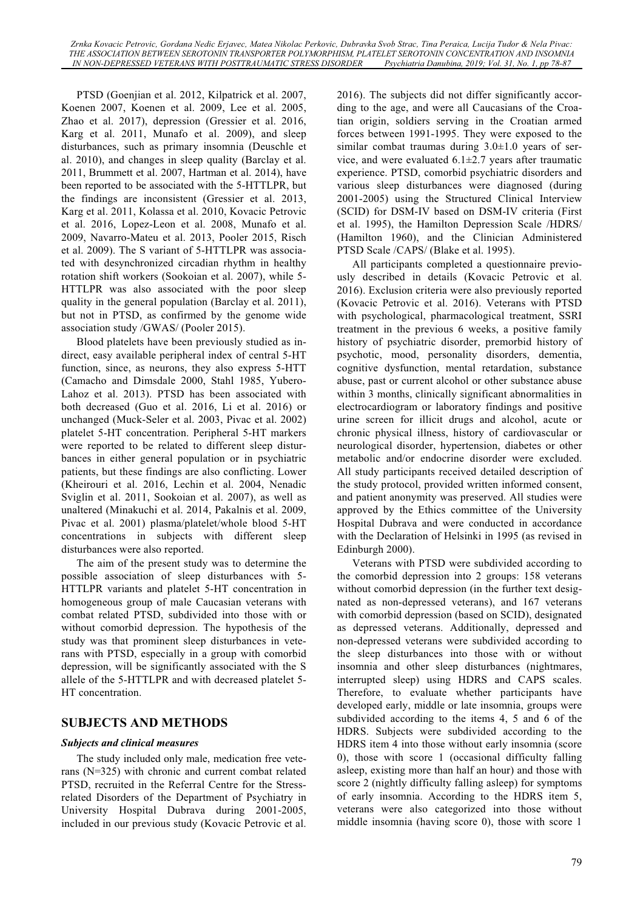PTSD (Goenjian et al. 2012, Kilpatrick et al. 2007, Koenen 2007, Koenen et al. 2009, Lee et al. 2005, Zhao et al. 2017), depression (Gressier et al. 2016, Karg et al. 2011, Munafo et al. 2009), and sleep disturbances, such as primary insomnia (Deuschle et al. 2010), and changes in sleep quality (Barclay et al. 2011, Brummett et al. 2007, Hartman et al. 2014), have been reported to be associated with the 5-HTTLPR, but the findings are inconsistent (Gressier et al. 2013, Karg et al. 2011, Kolassa et al. 2010, Kovacic Petrovic et al. 2016, Lopez-Leon et al. 2008, Munafo et al. 2009, Navarro-Mateu et al. 2013, Pooler 2015, Risch et al. 2009). The S variant of 5-HTTLPR was associated with desynchronized circadian rhythm in healthy rotation shift workers (Sookoian et al. 2007), while 5- HTTLPR was also associated with the poor sleep quality in the general population (Barclay et al. 2011), but not in PTSD, as confirmed by the genome wide association study /GWAS/ (Pooler 2015).

Blood platelets have been previously studied as indirect, easy available peripheral index of central 5-HT function, since, as neurons, they also express 5-HTT (Camacho and Dimsdale 2000, Stahl 1985, Yubero-Lahoz et al. 2013). PTSD has been associated with both decreased (Guo et al. 2016, Li et al. 2016) or unchanged (Muck-Seler et al. 2003, Pivac et al. 2002) platelet 5-HT concentration. Peripheral 5-HT markers were reported to be related to different sleep disturbances in either general population or in psychiatric patients, but these findings are also conflicting. Lower (Kheirouri et al. 2016, Lechin et al. 2004, Nenadic Sviglin et al. 2011, Sookoian et al. 2007), as well as unaltered (Minakuchi et al. 2014, Pakalnis et al. 2009, Pivac et al. 2001) plasma/platelet/whole blood 5-HT concentrations in subjects with different sleep disturbances were also reported.

The aim of the present study was to determine the possible association of sleep disturbances with 5- HTTLPR variants and platelet 5-HT concentration in homogeneous group of male Caucasian veterans with combat related PTSD, subdivided into those with or without comorbid depression. The hypothesis of the study was that prominent sleep disturbances in veterans with PTSD, especially in a group with comorbid depression, will be significantly associated with the S allele of the 5-HTTLPR and with decreased platelet 5- HT concentration.

### **SUBJECTS AND METHODS**

### *Subjects and clinical measures*

The study included only male, medication free veterans (N=325) with chronic and current combat related PTSD, recruited in the Referral Centre for the Stressrelated Disorders of the Department of Psychiatry in University Hospital Dubrava during 2001-2005, included in our previous study (Kovacic Petrovic et al. 2016). The subjects did not differ significantly according to the age, and were all Caucasians of the Croatian origin, soldiers serving in the Croatian armed forces between 1991-1995. They were exposed to the similar combat traumas during 3.0±1.0 years of service, and were evaluated  $6.1 \pm 2.7$  years after traumatic experience. PTSD, comorbid psychiatric disorders and various sleep disturbances were diagnosed (during 2001-2005) using the Structured Clinical Interview (SCID) for DSM-IV based on DSM-IV criteria (First et al. 1995), the Hamilton Depression Scale /HDRS/ (Hamilton 1960), and the Clinician Administered PTSD Scale /CAPS/ (Blake et al. 1995).

All participants completed a questionnaire previously described in details (Kovacic Petrovic et al. 2016). Exclusion criteria were also previously reported (Kovacic Petrovic et al. 2016). Veterans with PTSD with psychological, pharmacological treatment, SSRI treatment in the previous 6 weeks, a positive family history of psychiatric disorder, premorbid history of psychotic, mood, personality disorders, dementia, cognitive dysfunction, mental retardation, substance abuse, past or current alcohol or other substance abuse within 3 months, clinically significant abnormalities in electrocardiogram or laboratory findings and positive urine screen for illicit drugs and alcohol, acute or chronic physical illness, history of cardiovascular or neurological disorder, hypertension, diabetes or other metabolic and/or endocrine disorder were excluded. All study participants received detailed description of the study protocol, provided written informed consent, and patient anonymity was preserved. All studies were approved by the Ethics committee of the University Hospital Dubrava and were conducted in accordance with the Declaration of Helsinki in 1995 (as revised in Edinburgh 2000).

Veterans with PTSD were subdivided according to the comorbid depression into 2 groups: 158 veterans without comorbid depression (in the further text designated as non-depressed veterans), and 167 veterans with comorbid depression (based on SCID), designated as depressed veterans. Additionally, depressed and non-depressed veterans were subdivided according to the sleep disturbances into those with or without insomnia and other sleep disturbances (nightmares, interrupted sleep) using HDRS and CAPS scales. Therefore, to evaluate whether participants have developed early, middle or late insomnia, groups were subdivided according to the items 4, 5 and 6 of the HDRS. Subjects were subdivided according to the HDRS item 4 into those without early insomnia (score 0), those with score 1 (occasional difficulty falling asleep, existing more than half an hour) and those with score 2 (nightly difficulty falling asleep) for symptoms of early insomnia. According to the HDRS item 5, veterans were also categorized into those without middle insomnia (having score 0), those with score 1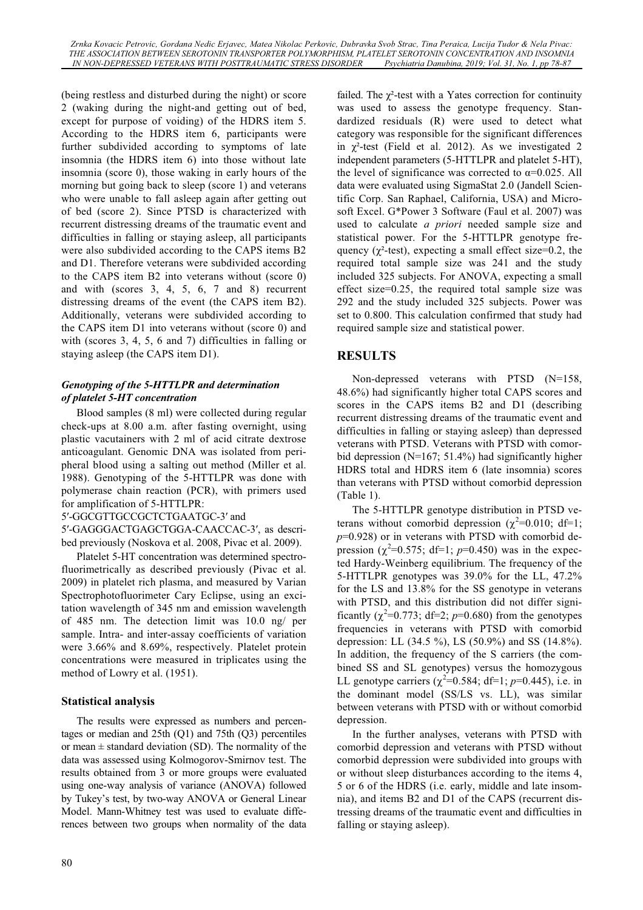(being restless and disturbed during the night) or score 2 (waking during the night-and getting out of bed, except for purpose of voiding) of the HDRS item 5. According to the HDRS item 6, participants were further subdivided according to symptoms of late insomnia (the HDRS item 6) into those without late insomnia (score 0), those waking in early hours of the morning but going back to sleep (score 1) and veterans who were unable to fall asleep again after getting out of bed (score 2). Since PTSD is characterized with recurrent distressing dreams of the traumatic event and difficulties in falling or staying asleep, all participants were also subdivided according to the CAPS items B2 and D1. Therefore veterans were subdivided according to the CAPS item B2 into veterans without (score 0) and with (scores 3, 4, 5, 6, 7 and 8) recurrent distressing dreams of the event (the CAPS item B2). Additionally, veterans were subdivided according to the CAPS item D1 into veterans without (score 0) and with (scores 3, 4, 5, 6 and 7) difficulties in falling or staying asleep (the CAPS item D1).

### *Genotyping of the 5-HTTLPR and determination of platelet 5-HT concentration*

Blood samples (8 ml) were collected during regular check-ups at 8.00 a.m. after fasting overnight, using plastic vacutainers with 2 ml of acid citrate dextrose anticoagulant. Genomic DNA was isolated from peripheral blood using a salting out method (Miller et al. 1988). Genotyping of the 5-HTTLPR was done with polymerase chain reaction (PCR), with primers used for amplification of 5-HTTLPR:

5'-GGCGTTGCCGCTCTGAATGC-3' and

5'-GAGGGACTGAGCTGGA-CAACCAC-3', as described previously (Noskova et al. 2008, Pivac et al. 2009).

Platelet 5-HT concentration was determined spectrofluorimetrically as described previously (Pivac et al. 2009) in platelet rich plasma, and measured by Varian Spectrophotofluorimeter Cary Eclipse, using an excitation wavelength of 345 nm and emission wavelength of 485 nm. The detection limit was 10.0 ng/ per sample. Intra- and inter-assay coefficients of variation were 3.66% and 8.69%, respectively. Platelet protein concentrations were measured in triplicates using the method of Lowry et al. (1951).

### **Statistical analysis**

The results were expressed as numbers and percentages or median and 25th (Q1) and 75th (Q3) percentiles or mean  $\pm$  standard deviation (SD). The normality of the data was assessed using Kolmogorov-Smirnov test. The results obtained from 3 or more groups were evaluated using one-way analysis of variance (ANOVA) followed by Tukey's test, by two-way ANOVA or General Linear Model. Mann-Whitney test was used to evaluate differences between two groups when normality of the data failed. The  $\chi^2$ -test with a Yates correction for continuity was used to assess the genotype frequency. Standardized residuals (R) were used to detect what category was responsible for the significant differences in  $\chi^2$ -test (Field et al. 2012). As we investigated 2 independent parameters (5-HTTLPR and platelet 5-HT), the level of significance was corrected to  $\alpha=0.025$ . All data were evaluated using SigmaStat 2.0 (Jandell Scientific Corp. San Raphael, California, USA) and Microsoft Excel. G\*Power 3 Software (Faul et al. 2007) was used to calculate *a priori* needed sample size and statistical power. For the 5-HTTLPR genotype frequency ( $\chi^2$ -test), expecting a small effect size=0.2, the required total sample size was 241 and the study included 325 subjects. For ANOVA, expecting a small effect size=0.25, the required total sample size was 292 and the study included 325 subjects. Power was set to 0.800. This calculation confirmed that study had required sample size and statistical power.

# **RESULTS**

Non-depressed veterans with PTSD (N=158, 48.6%) had significantly higher total CAPS scores and scores in the CAPS items B2 and D1 (describing recurrent distressing dreams of the traumatic event and difficulties in falling or staying asleep) than depressed veterans with PTSD. Veterans with PTSD with comorbid depression (N=167; 51.4%) had significantly higher HDRS total and HDRS item 6 (late insomnia) scores than veterans with PTSD without comorbid depression (Table 1).

The 5-HTTLPR genotype distribution in PTSD veterans without comorbid depression ( $\chi^2$ =0.010; df=1; *p*=0.928) or in veterans with PTSD with comorbid depression  $(\chi^2=0.575; df=1; p=0.450)$  was in the expected Hardy-Weinberg equilibrium. The frequency of the 5-HTTLPR genotypes was 39.0% for the LL, 47.2% for the LS and 13.8% for the SS genotype in veterans with PTSD, and this distribution did not differ significantly  $(\chi^2=0.773; df=2; p=0.680)$  from the genotypes frequencies in veterans with PTSD with comorbid depression: LL (34.5 %), LS (50.9%) and SS (14.8%). In addition, the frequency of the S carriers (the combined SS and SL genotypes) versus the homozygous LL genotype carriers  $(\chi^2=0.584; df=1; p=0.445)$ , i.e. in the dominant model (SS/LS vs. LL), was similar between veterans with PTSD with or without comorbid depression.

In the further analyses, veterans with PTSD with comorbid depression and veterans with PTSD without comorbid depression were subdivided into groups with or without sleep disturbances according to the items 4, 5 or 6 of the HDRS (i.e. early, middle and late insomnia), and items B2 and D1 of the CAPS (recurrent distressing dreams of the traumatic event and difficulties in falling or staying asleep).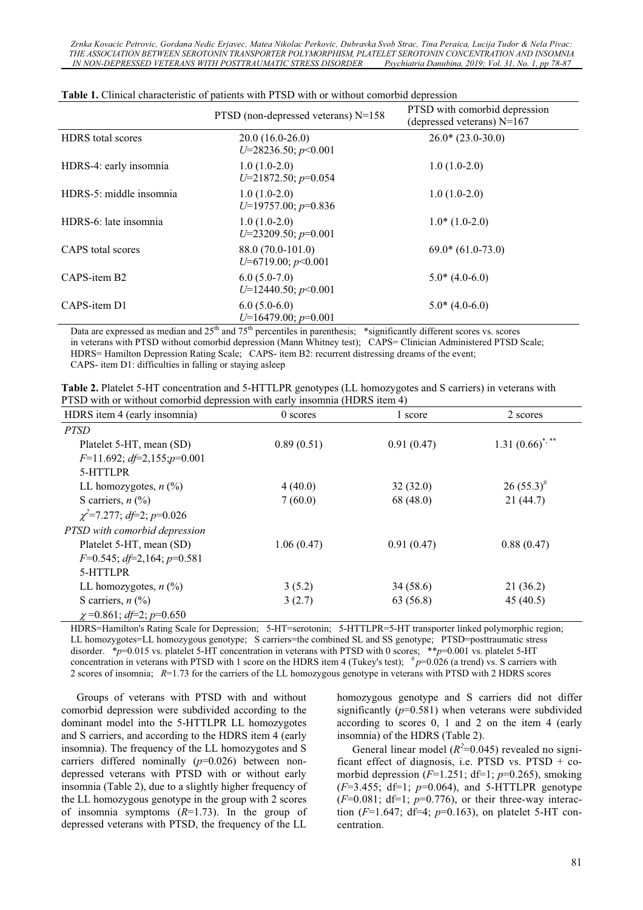*Zrnka Kovacic Petrovic, Gordana Nedic Erjavec, Matea Nikolac Perkovic, Dubravka Svob Strac, Tina Peraica, Lucija Tudor & Nela Pivac: THE ASSOCIATION BETWEEN SEROTONIN TRANSPORTER POLYMORPHISM, PLATELET SEROTONIN CONCENTRATION AND INSOMNIA IN NON-DEPRESSED VETERANS WITH POSTTRAUMATIC STRESS DISORDER* 

|                          | PTSD (non-depressed veterans) $N=158$                                                                                                                                                                                                                                                                                                       | PTSD with comorbid depression<br>(depressed veterans) N=167 |
|--------------------------|---------------------------------------------------------------------------------------------------------------------------------------------------------------------------------------------------------------------------------------------------------------------------------------------------------------------------------------------|-------------------------------------------------------------|
| <b>HDRS</b> total scores | $20.0(16.0-26.0)$<br>$U=28236.50; p<0.001$                                                                                                                                                                                                                                                                                                  | $26.0*(23.0-30.0)$                                          |
| HDRS-4: early insomnia   | $1.0(1.0-2.0)$<br>$U=21872.50$ ; $p=0.054$                                                                                                                                                                                                                                                                                                  | $1.0(1.0-2.0)$                                              |
| HDRS-5: middle insomnia  | $1.0(1.0-2.0)$<br>$U=19757.00; p=0.836$                                                                                                                                                                                                                                                                                                     | $1.0(1.0-2.0)$                                              |
| HDRS-6: late insomnia    | $1.0(1.0-2.0)$<br>$U=23209.50; p=0.001$                                                                                                                                                                                                                                                                                                     | $1.0*(1.0-2.0)$                                             |
| CAPS total scores        | 88.0 (70.0-101.0)<br>$U=6719.00; p<0.001$                                                                                                                                                                                                                                                                                                   | $69.0*(61.0-73.0)$                                          |
| CAPS-item B2             | $6.0(5.0-7.0)$<br>$U=12440.50; p<0.001$                                                                                                                                                                                                                                                                                                     | $5.0*(4.0-6.0)$                                             |
| CAPS-item D1             | $6.0(5.0-6.0)$<br>$U=16479.00; p=0.001$<br>$\mathbf{D}$ and $\mathbf{D}$ and $\mathbf{D}$ and $\mathbf{D}$ and $\mathbf{D}$ and $\mathbf{D}$ and $\mathbf{D}$ and $\mathbf{D}$ and $\mathbf{D}$ and $\mathbf{D}$ and $\mathbf{D}$ and $\mathbf{D}$ and $\mathbf{D}$ and $\mathbf{D}$ and $\mathbf{D}$ and $\mathbf{D}$ and $\mathbf{D}$ and | $5.0*(4.0-6.0)$                                             |

| <b>Table 1.</b> Clinical characteristic of patients with PTSD with or without comorbid depression |  |  |  |
|---------------------------------------------------------------------------------------------------|--|--|--|
|---------------------------------------------------------------------------------------------------|--|--|--|

Data are expressed as median and  $25<sup>th</sup>$  and  $75<sup>th</sup>$  percentiles in parenthesis; \*significantly different scores vs. scores in veterans with PTSD without comorbid depression (Mann Whitney test); CAPS= Clinician Administered PTSD Scale; HDRS= Hamilton Depression Rating Scale; CAPS- item B2: recurrent distressing dreams of the event; CAPS- item D1: difficulties in falling or staying asleep

| Table 2. Platelet 5-HT concentration and 5-HTTLPR genotypes (LL homozygotes and S carriers) in veterans with |  |  |
|--------------------------------------------------------------------------------------------------------------|--|--|
| PTSD with or without comorbid depression with early insomnia (HDRS item 4)                                   |  |  |

| HDRS item 4 (early insomnia)            | 0 scores   | 1 score    | 2 scores             |
|-----------------------------------------|------------|------------|----------------------|
| <b>PTSD</b>                             |            |            |                      |
| Platelet 5-HT, mean (SD)                | 0.89(0.51) | 0.91(0.47) | 1.31 $(0.66)^{*,**}$ |
| $F=11.692; d\neq 2,155; p=0.001$        |            |            |                      |
| 5-HTTLPR                                |            |            |                      |
| LL homozygotes, $n$ (%)                 | 4(40.0)    | 32(32.0)   | $26(55.3)^{#}$       |
| S carriers, $n\left(\frac{0}{0}\right)$ | 7(60.0)    | 68 (48.0)  | 21(44.7)             |
| $\chi^2$ =7.277; df=2; p=0.026          |            |            |                      |
| PTSD with comorbid depression           |            |            |                      |
| Platelet 5-HT, mean (SD)                | 1.06(0.47) | 0.91(0.47) | 0.88(0.47)           |
| $F=0.545$ ; $df=2,164$ ; $p=0.581$      |            |            |                      |
| 5-HTTLPR                                |            |            |                      |
| LL homozygotes, $n$ (%)                 | 3(5.2)     | 34(58.6)   | 21 (36.2)            |
| S carriers, $n\left(\frac{0}{0}\right)$ | 3(2.7)     | 63 (56.8)  | 45(40.5)             |
| $\chi$ =0.861; df=2; p=0.650            |            |            |                      |

HDRS=Hamilton's Rating Scale for Depression; 5-HT=serotonin; 5-HTTLPR=5-HT transporter linked polymorphic region; LL homozygotes=LL homozygous genotype; S carriers=the combined SL and SS genotype; PTSD=posttraumatic stress disorder. \*p=0.015 vs. platelet 5-HT concentration in veterans with PTSD with 0 scores; \*\*p=0.001 vs. platelet 5-HT concentration in veterans with PTSD with 1 score on the HDRS item 4 (Tukey's test);  $\#p=0.026$  (a trend) vs. S carriers with 2 scores of insomnia;  $R=1.73$  for the carriers of the LL homozygous genotype in veterans with PTSD with 2 HDRS scores

Groups of veterans with PTSD with and without comorbid depression were subdivided according to the dominant model into the 5-HTTLPR LL homozygotes and S carriers, and according to the HDRS item 4 (early insomnia). The frequency of the LL homozygotes and S carriers differed nominally (*p*=0.026) between nondepressed veterans with PTSD with or without early insomnia (Table 2), due to a slightly higher frequency of the LL homozygous genotype in the group with 2 scores of insomnia symptoms (*R*=1.73). In the group of depressed veterans with PTSD, the frequency of the LL homozygous genotype and S carriers did not differ significantly  $(p=0.581)$  when veterans were subdivided according to scores 0, 1 and 2 on the item 4 (early insomnia) of the HDRS (Table 2).

General linear model  $(R^2=0.045)$  revealed no significant effect of diagnosis, i.e. PTSD vs. PTSD +  $co$ morbid depression  $(F=1.251; df=1; p=0.265)$ , smoking (*F*=3.455; df=1; *p*=0.064), and 5-HTTLPR genotype  $(F=0.081; df=1; p=0.776)$ , or their three-way interaction (*F*=1.647; df=4; *p*=0.163), on platelet 5-HT concentration.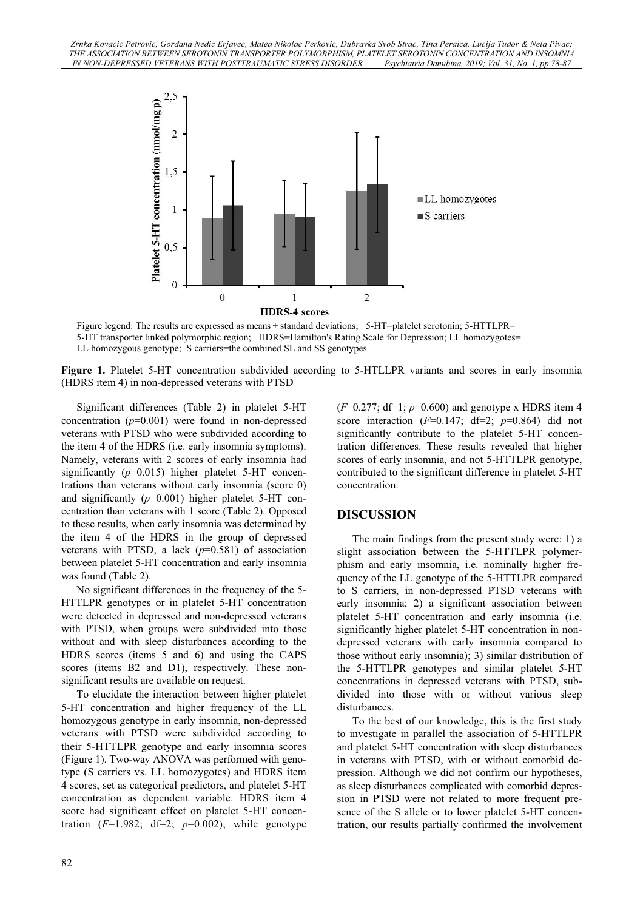

Figure legend: The results are expressed as means ± standard deviations; 5-HT=platelet serotonin; 5-HTTLPR= 5-HT transporter linked polymorphic region; HDRS=Hamilton's Rating Scale for Depression; LL homozygotes= LL homozygous genotype; S carriers=the combined SL and SS genotypes

**Figure 1.** Platelet 5-HT concentration subdivided according to 5-HTLLPR variants and scores in early insomnia (HDRS item 4) in non-depressed veterans with PTSD

Significant differences (Table 2) in platelet 5-HT concentration  $(p=0.001)$  were found in non-depressed veterans with PTSD who were subdivided according to the item 4 of the HDRS (i.e. early insomnia symptoms). Namely, veterans with 2 scores of early insomnia had significantly (*p*=0.015) higher platelet 5-HT concentrations than veterans without early insomnia (score 0) and significantly (*p*=0.001) higher platelet 5-HT concentration than veterans with 1 score (Table 2). Opposed to these results, when early insomnia was determined by the item 4 of the HDRS in the group of depressed veterans with PTSD, a lack  $(p=0.581)$  of association between platelet 5-HT concentration and early insomnia was found (Table 2).

No significant differences in the frequency of the 5- HTTLPR genotypes or in platelet 5-HT concentration were detected in depressed and non-depressed veterans with PTSD, when groups were subdivided into those without and with sleep disturbances according to the HDRS scores (items 5 and 6) and using the CAPS scores (items B2 and D1), respectively. These nonsignificant results are available on request.

To elucidate the interaction between higher platelet 5-HT concentration and higher frequency of the LL homozygous genotype in early insomnia, non-depressed veterans with PTSD were subdivided according to their 5-HTTLPR genotype and early insomnia scores (Figure 1). Two-way ANOVA was performed with genotype (S carriers vs. LL homozygotes) and HDRS item 4 scores, set as categorical predictors, and platelet 5-HT concentration as dependent variable. HDRS item 4 score had significant effect on platelet 5-HT concentration  $(F=1.982; df=2; p=0.002)$ , while genotype

(*F*=0.277; df=1; *p*=0.600) and genotype x HDRS item 4 score interaction  $(F=0.147; df=2; p=0.864)$  did not significantly contribute to the platelet 5-HT concentration differences. These results revealed that higher scores of early insomnia, and not 5-HTTLPR genotype, contributed to the significant difference in platelet 5-HT concentration.

# **DISCUSSION**

The main findings from the present study were: 1) a slight association between the 5-HTTLPR polymerphism and early insomnia, i.e. nominally higher frequency of the LL genotype of the 5-HTTLPR compared to S carriers, in non-depressed PTSD veterans with early insomnia; 2) a significant association between platelet 5-HT concentration and early insomnia (i.e. significantly higher platelet 5-HT concentration in nondepressed veterans with early insomnia compared to those without early insomnia); 3) similar distribution of the 5-HTTLPR genotypes and similar platelet 5-HT concentrations in depressed veterans with PTSD, subdivided into those with or without various sleep disturbances.

To the best of our knowledge, this is the first study to investigate in parallel the association of 5-HTTLPR and platelet 5-HT concentration with sleep disturbances in veterans with PTSD, with or without comorbid depression. Although we did not confirm our hypotheses, as sleep disturbances complicated with comorbid depression in PTSD were not related to more frequent presence of the S allele or to lower platelet 5-HT concentration, our results partially confirmed the involvement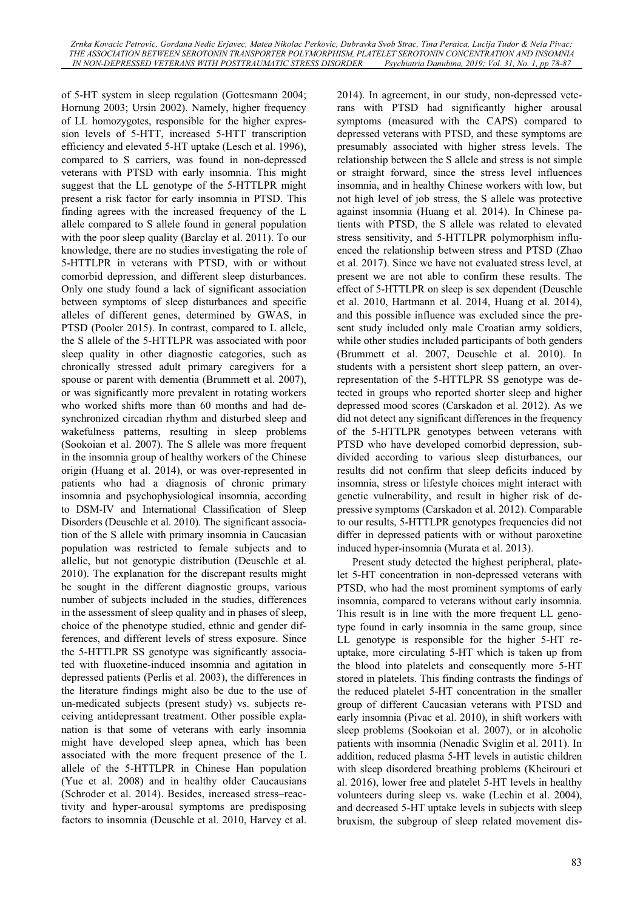of 5-HT system in sleep regulation (Gottesmann 2004; Hornung 2003; Ursin 2002). Namely, higher frequency of LL homozygotes, responsible for the higher expression levels of 5-HTT, increased 5-HTT transcription efficiency and elevated 5-HT uptake (Lesch et al. 1996), compared to S carriers, was found in non-depressed veterans with PTSD with early insomnia. This might suggest that the LL genotype of the 5-HTTLPR might present a risk factor for early insomnia in PTSD. This finding agrees with the increased frequency of the L allele compared to S allele found in general population with the poor sleep quality (Barclay et al. 2011). To our knowledge, there are no studies investigating the role of 5-HTTLPR in veterans with PTSD, with or without comorbid depression, and different sleep disturbances. Only one study found a lack of significant association between symptoms of sleep disturbances and specific alleles of different genes, determined by GWAS, in PTSD (Pooler 2015). In contrast, compared to L allele, the S allele of the 5-HTTLPR was associated with poor sleep quality in other diagnostic categories, such as chronically stressed adult primary caregivers for a spouse or parent with dementia (Brummett et al. 2007), or was significantly more prevalent in rotating workers who worked shifts more than 60 months and had desynchronized circadian rhythm and disturbed sleep and wakefulness patterns, resulting in sleep problems (Sookoian et al. 2007). The S allele was more frequent in the insomnia group of healthy workers of the Chinese origin (Huang et al. 2014), or was over-represented in patients who had a diagnosis of chronic primary insomnia and psychophysiological insomnia, according to DSM-IV and International Classification of Sleep Disorders (Deuschle et al. 2010). The significant association of the S allele with primary insomnia in Caucasian population was restricted to female subjects and to allelic, but not genotypic distribution (Deuschle et al. 2010). The explanation for the discrepant results might be sought in the different diagnostic groups, various number of subjects included in the studies, differences in the assessment of sleep quality and in phases of sleep, choice of the phenotype studied, ethnic and gender differences, and different levels of stress exposure. Since the 5-HTTLPR SS genotype was significantly associated with fluoxetine-induced insomnia and agitation in depressed patients (Perlis et al. 2003), the differences in the literature findings might also be due to the use of un-medicated subjects (present study) vs. subjects receiving antidepressant treatment. Other possible explanation is that some of veterans with early insomnia might have developed sleep apnea, which has been associated with the more frequent presence of the L allele of the 5-HTTLPR in Chinese Han population (Yue et al. 2008) and in healthy older Caucausians (Schroder et al. 2014). Besides, increased stress–reactivity and hyper-arousal symptoms are predisposing factors to insomnia (Deuschle et al. 2010, Harvey et al.

2014). In agreement, in our study, non-depressed veterans with PTSD had significantly higher arousal symptoms (measured with the CAPS) compared to depressed veterans with PTSD, and these symptoms are presumably associated with higher stress levels. The relationship between the S allele and stress is not simple or straight forward, since the stress level influences insomnia, and in healthy Chinese workers with low, but not high level of job stress, the S allele was protective against insomnia (Huang et al. 2014). In Chinese patients with PTSD, the S allele was related to elevated stress sensitivity, and 5-HTTLPR polymorphism influenced the relationship between stress and PTSD (Zhao et al. 2017). Since we have not evaluated stress level, at present we are not able to confirm these results. The effect of 5-HTTLPR on sleep is sex dependent (Deuschle et al. 2010, Hartmann et al. 2014, Huang et al. 2014), and this possible influence was excluded since the present study included only male Croatian army soldiers, while other studies included participants of both genders (Brummett et al. 2007, Deuschle et al. 2010). In students with a persistent short sleep pattern, an overrepresentation of the 5-HTTLPR SS genotype was detected in groups who reported shorter sleep and higher depressed mood scores (Carskadon et al. 2012). As we did not detect any significant differences in the frequency of the 5-HTTLPR genotypes between veterans with PTSD who have developed comorbid depression, subdivided according to various sleep disturbances, our results did not confirm that sleep deficits induced by insomnia, stress or lifestyle choices might interact with genetic vulnerability, and result in higher risk of depressive symptoms (Carskadon et al. 2012). Comparable to our results, 5-HTTLPR genotypes frequencies did not differ in depressed patients with or without paroxetine induced hyper-insomnia (Murata et al. 2013).

Present study detected the highest peripheral, platelet 5-HT concentration in non-depressed veterans with PTSD, who had the most prominent symptoms of early insomnia, compared to veterans without early insomnia. This result is in line with the more frequent LL genotype found in early insomnia in the same group, since LL genotype is responsible for the higher 5-HT reuptake, more circulating 5-HT which is taken up from the blood into platelets and consequently more 5-HT stored in platelets. This finding contrasts the findings of the reduced platelet 5-HT concentration in the smaller group of different Caucasian veterans with PTSD and early insomnia (Pivac et al. 2010), in shift workers with sleep problems (Sookoian et al. 2007), or in alcoholic patients with insomnia (Nenadic Sviglin et al. 2011). In addition, reduced plasma 5-HT levels in autistic children with sleep disordered breathing problems (Kheirouri et al. 2016), lower free and platelet 5-HT levels in healthy volunteers during sleep vs. wake (Lechin et al. 2004), and decreased 5-HT uptake levels in subjects with sleep bruxism, the subgroup of sleep related movement dis-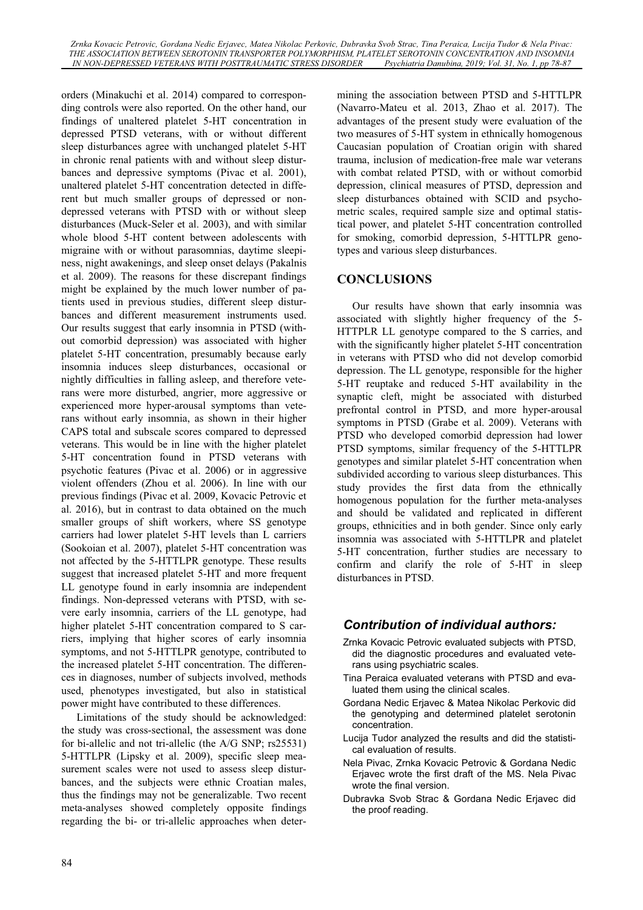orders (Minakuchi et al. 2014) compared to corresponding controls were also reported. On the other hand, our findings of unaltered platelet 5-HT concentration in depressed PTSD veterans, with or without different sleep disturbances agree with unchanged platelet 5-HT in chronic renal patients with and without sleep disturbances and depressive symptoms (Pivac et al. 2001), unaltered platelet 5-HT concentration detected in different but much smaller groups of depressed or nondepressed veterans with PTSD with or without sleep disturbances (Muck-Seler et al. 2003), and with similar whole blood 5-HT content between adolescents with migraine with or without parasomnias, daytime sleepiness, night awakenings, and sleep onset delays (Pakalnis et al. 2009). The reasons for these discrepant findings might be explained by the much lower number of patients used in previous studies, different sleep disturbances and different measurement instruments used. Our results suggest that early insomnia in PTSD (without comorbid depression) was associated with higher platelet 5-HT concentration, presumably because early insomnia induces sleep disturbances, occasional or nightly difficulties in falling asleep, and therefore veterans were more disturbed, angrier, more aggressive or experienced more hyper-arousal symptoms than veterans without early insomnia, as shown in their higher CAPS total and subscale scores compared to depressed veterans. This would be in line with the higher platelet 5-HT concentration found in PTSD veterans with psychotic features (Pivac et al. 2006) or in aggressive violent offenders (Zhou et al. 2006). In line with our previous findings (Pivac et al. 2009, Kovacic Petrovic et al. 2016), but in contrast to data obtained on the much smaller groups of shift workers, where SS genotype carriers had lower platelet 5-HT levels than L carriers (Sookoian et al. 2007), platelet 5-HT concentration was not affected by the 5-HTTLPR genotype. These results suggest that increased platelet 5-HT and more frequent LL genotype found in early insomnia are independent findings. Non-depressed veterans with PTSD, with severe early insomnia, carriers of the LL genotype, had higher platelet 5-HT concentration compared to S carriers, implying that higher scores of early insomnia symptoms, and not 5-HTTLPR genotype, contributed to the increased platelet 5-HT concentration. The differences in diagnoses, number of subjects involved, methods used, phenotypes investigated, but also in statistical power might have contributed to these differences.

Limitations of the study should be acknowledged: the study was cross-sectional, the assessment was done for bi-allelic and not tri-allelic (the A/G SNP; rs25531) 5-HTTLPR (Lipsky et al. 2009), specific sleep measurement scales were not used to assess sleep disturbances, and the subjects were ethnic Croatian males, thus the findings may not be generalizable. Two recent meta-analyses showed completely opposite findings regarding the bi- or tri-allelic approaches when determining the association between PTSD and 5-HTTLPR (Navarro-Mateu et al. 2013, Zhao et al. 2017). The advantages of the present study were evaluation of the two measures of 5-HT system in ethnically homogenous Caucasian population of Croatian origin with shared trauma, inclusion of medication-free male war veterans with combat related PTSD, with or without comorbid depression, clinical measures of PTSD, depression and sleep disturbances obtained with SCID and psychometric scales, required sample size and optimal statistical power, and platelet 5-HT concentration controlled for smoking, comorbid depression, 5-HTTLPR genotypes and various sleep disturbances.

### **CONCLUSIONS**

Our results have shown that early insomnia was associated with slightly higher frequency of the 5- HTTPLR LL genotype compared to the S carries, and with the significantly higher platelet 5-HT concentration in veterans with PTSD who did not develop comorbid depression. The LL genotype, responsible for the higher 5-HT reuptake and reduced 5-HT availability in the synaptic cleft, might be associated with disturbed prefrontal control in PTSD, and more hyper-arousal symptoms in PTSD (Grabe et al. 2009). Veterans with PTSD who developed comorbid depression had lower PTSD symptoms, similar frequency of the 5-HTTLPR genotypes and similar platelet 5-HT concentration when subdivided according to various sleep disturbances. This study provides the first data from the ethnically homogenous population for the further meta-analyses and should be validated and replicated in different groups, ethnicities and in both gender. Since only early insomnia was associated with 5-HTTLPR and platelet 5-HT concentration, further studies are necessary to confirm and clarify the role of 5-HT in sleep disturbances in PTSD.

# *Contribution of individual authors:*

- Zrnka Kovacic Petrovic evaluated subjects with PTSD, did the diagnostic procedures and evaluated veterans using psychiatric scales.
- Tina Peraica evaluated veterans with PTSD and evaluated them using the clinical scales.
- Gordana Nedic Erjavec & Matea Nikolac Perkovic did the genotyping and determined platelet serotonin concentration.
- Lucija Tudor analyzed the results and did the statistical evaluation of results.
- Nela Pivac, Zrnka Kovacic Petrovic & Gordana Nedic Erjavec wrote the first draft of the MS. Nela Pivac wrote the final version.
- Dubravka Svob Strac & Gordana Nedic Erjavec did the proof reading.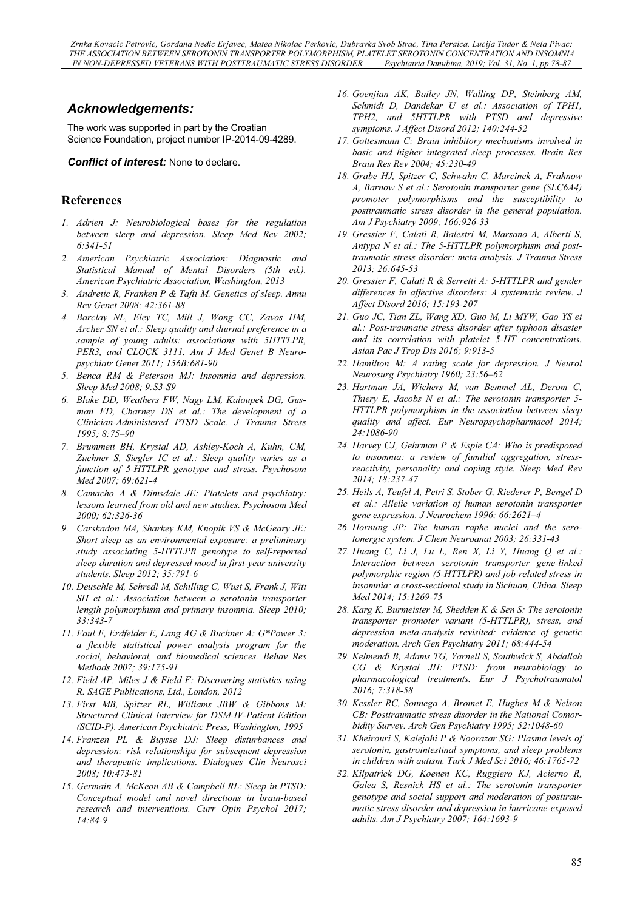# *Acknowledgements:*

The work was supported in part by the Croatian Science Foundation, project number IP-2014-09-4289.

#### *Conflict of interest:* None to declare.

### **References**

- *1. Adrien J: Neurobiological bases for the regulation between sleep and depression. Sleep Med Rev 2002; 6:341-51*
- *2. American Psychiatric Association: Diagnostic and Statistical Manual of Mental Disorders (5th ed.). American Psychiatric Association, Washington, 2013*
- *3. Andretic R, Franken P & Tafti M. Genetics of sleep. Annu Rev Genet 2008; 42:361-88*
- *4. Barclay NL, Eley TC, Mill J, Wong CC, Zavos HM, Archer SN et al.: Sleep quality and diurnal preference in a sample of young adults: associations with 5HTTLPR, PER3, and CLOCK 3111. Am J Med Genet B Neuropsychiatr Genet 2011; 156B:681-90*
- *5. Benca RM & Peterson MJ: Insomnia and depression. Sleep Med 2008; 9:S3-S9*
- *6. Blake DD, Weathers FW, Nagy LM, Kaloupek DG, Gusman FD, Charney DS et al.: The development of a Clinician-Administered PTSD Scale. J Trauma Stress 1995; 8:75–90*
- *7. Brummett BH, Krystal AD, Ashley-Koch A, Kuhn, CM, Zuchner S, Siegler IC et al.: Sleep quality varies as a function of 5-HTTLPR genotype and stress. Psychosom Med 2007; 69:621-4*
- *8. Camacho A & Dimsdale JE: Platelets and psychiatry: lessons learned from old and new studies. Psychosom Med 2000; 62:326-36*
- *9. Carskadon MA, Sharkey KM, Knopik VS & McGeary JE: Short sleep as an environmental exposure: a preliminary study associating 5-HTTLPR genotype to self-reported sleep duration and depressed mood in first-year university students. Sleep 2012; 35:791-6*
- *10. Deuschle M, Schredl M, Schilling C, Wust S, Frank J, Witt SH et al.: Association between a serotonin transporter length polymorphism and primary insomnia. Sleep 2010; 33:343-7*
- *11. Faul F, Erdfelder E, Lang AG & Buchner A: G\*Power 3: a flexible statistical power analysis program for the social, behavioral, and biomedical sciences. Behav Res Methods 2007; 39:175-91*
- *12. Field AP, Miles J & Field F: Discovering statistics using R. SAGE Publications, Ltd., London, 2012*
- *13. First MB, Spitzer RL, Williams JBW & Gibbons M: Structured Clinical Interview for DSM-IV-Patient Edition (SCID-P). American Psychiatric Press, Washington, 1995*
- *14. Franzen PL & Buysse DJ: Sleep disturbances and depression: risk relationships for subsequent depression and therapeutic implications. Dialogues Clin Neurosci 2008; 10:473-81*
- *15. Germain A, McKeon AB & Campbell RL: Sleep in PTSD: Conceptual model and novel directions in brain-based research and interventions. Curr Opin Psychol 2017; 14:84-9*
- *16. Goenjian AK, Bailey JN, Walling DP, Steinberg AM, Schmidt D, Dandekar U et al.: Association of TPH1, TPH2, and 5HTTLPR with PTSD and depressive symptoms. J Affect Disord 2012; 140:244-52*
- *17. Gottesmann C: Brain inhibitory mechanisms involved in basic and higher integrated sleep processes. Brain Res Brain Res Rev 2004; 45:230-49*
- *18. Grabe HJ, Spitzer C, Schwahn C, Marcinek A, Frahnow A, Barnow S et al.: Serotonin transporter gene (SLC6A4) promoter polymorphisms and the susceptibility to posttraumatic stress disorder in the general population. Am J Psychiatry 2009; 166:926-33*
- *19. Gressier F, Calati R, Balestri M, Marsano A, Alberti S, Antypa N et al.: The 5-HTTLPR polymorphism and posttraumatic stress disorder: meta-analysis. J Trauma Stress 2013; 26:645-53*
- *20. Gressier F, Calati R & Serretti A: 5-HTTLPR and gender differences in affective disorders: A systematic review. J Affect Disord 2016; 15:193-207*
- *21. Guo JC, Tian ZL, Wang XD, Guo M, Li MYW, Gao YS et al.: Post-traumatic stress disorder after typhoon disaster and its correlation with platelet 5-HT concentrations. Asian Pac J Trop Dis 2016; 9:913-5*
- *22. Hamilton M: A rating scale for depression. J Neurol Neurosurg Psychiatry 1960; 23:56–62*
- *23. Hartman JA, Wichers M, van Bemmel AL, Derom C, Thiery E, Jacobs N et al.: The serotonin transporter 5- HTTLPR polymorphism in the association between sleep quality and affect. Eur Neuropsychopharmacol 2014; 24:1086-90*
- *24. Harvey CJ, Gehrman P & Espie CA: Who is predisposed to insomnia: a review of familial aggregation, stressreactivity, personality and coping style. Sleep Med Rev 2014; 18:237-47*
- *25. Heils A, Teufel A, Petri S, Stober G, Riederer P, Bengel D et al.: Allelic variation of human serotonin transporter gene expression. J Neurochem 1996; 66:2621–4*
- *26. Hornung JP: The human raphe nuclei and the serotonergic system. J Chem Neuroanat 2003; 26:331-43*
- *27. Huang C, Li J, Lu L, Ren X, Li Y, Huang Q et al.: Interaction between serotonin transporter gene-linked polymorphic region (5-HTTLPR) and job-related stress in insomnia: a cross-sectional study in Sichuan, China. Sleep Med 2014; 15:1269-75*
- *28. Karg K, Burmeister M, Shedden K & Sen S: The serotonin transporter promoter variant (5-HTTLPR), stress, and depression meta-analysis revisited: evidence of genetic moderation. Arch Gen Psychiatry 2011; 68:444-54*
- *29. Kelmendi B, Adams TG, Yarnell S, Southwick S, Abdallah CG & Krystal JH: PTSD: from neurobiology to pharmacological treatments. Eur J Psychotraumatol 2016; 7:318-58*
- *30. Kessler RC, Sonnega A, Bromet E, Hughes M & Nelson CB: Posttraumatic stress disorder in the National Comorbidity Survey. Arch Gen Psychiatry 1995; 52:1048-60*
- *31. Kheirouri S, Kalejahi P & Noorazar SG: Plasma levels of serotonin, gastrointestinal symptoms, and sleep problems in children with autism. Turk J Med Sci 2016; 46:1765-72*
- *32. Kilpatrick DG, Koenen KC, Ruggiero KJ, Acierno R, Galea S, Resnick HS et al.: The serotonin transporter genotype and social support and moderation of posttraumatic stress disorder and depression in hurricane-exposed adults. Am J Psychiatry 2007; 164:1693-9*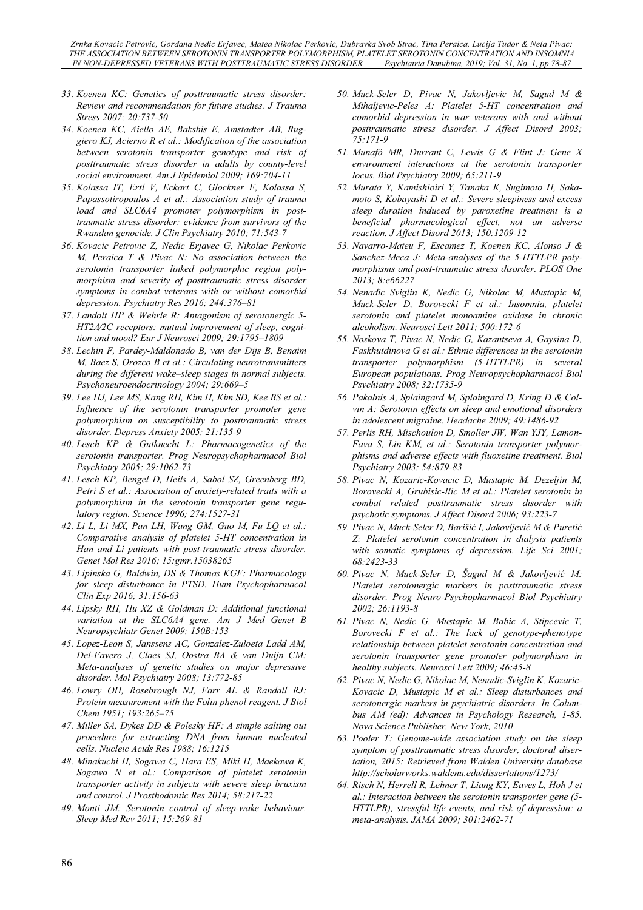- *33. Koenen KC: Genetics of posttraumatic stress disorder: Review and recommendation for future studies. J Trauma Stress 2007; 20:737-50*
- *34. Koenen KC, Aiello AE, Bakshis E, Amstadter AB, Ruggiero KJ, Acierno R et al.: Modification of the association between serotonin transporter genotype and risk of posttraumatic stress disorder in adults by county-level social environment. Am J Epidemiol 2009; 169:704-11*
- *35. Kolassa IT, Ertl V, Eckart C, Glockner F, Kolassa S, Papassotiropoulos A et al.: Association study of trauma load and SLC6A4 promoter polymorphism in posttraumatic stress disorder: evidence from survivors of the Rwandan genocide. J Clin Psychiatry 2010; 71:543-7*
- *36. Kovacic Petrovic Z, Nedic Erjavec G, Nikolac Perkovic M, Peraica T & Pivac N: No association between the serotonin transporter linked polymorphic region polymorphism and severity of posttraumatic stress disorder symptoms in combat veterans with or without comorbid depression. Psychiatry Res 2016; 244:376–81*
- *37. Landolt HP & Wehrle R: Antagonism of serotonergic 5- HT2A⁄2C receptors: mutual improvement of sleep, cognition and mood? Eur J Neurosci 2009; 29:1795–1809*
- *38. Lechin F, Pardey-Maldonado B, van der Dijs B, Benaim M, Baez S, Orozco B et al.: Circulating neurotransmitters during the different wake–sleep stages in normal subjects. Psychoneuroendocrinology 2004; 29:669–5*
- *39. Lee HJ, Lee MS, Kang RH, Kim H, Kim SD, Kee BS et al.: Influence of the serotonin transporter promoter gene polymorphism on susceptibility to posttraumatic stress disorder. Depress Anxiety 2005; 21:135-9*
- *40. Lesch KP & Gutknecht L: Pharmacogenetics of the serotonin transporter. Prog Neuropsychopharmacol Biol Psychiatry 2005; 29:1062-73*
- *41. Lesch KP, Bengel D, Heils A, Sabol SZ, Greenberg BD, Petri S et al.: Association of anxiety-related traits with a polymorphism in the serotonin transporter gene regulatory region. Science 1996; 274:1527-31*
- *42. Li L, Li MX, Pan LH, Wang GM, Guo M, Fu LQ et al.: Comparative analysis of platelet 5-HT concentration in Han and Li patients with post-traumatic stress disorder. Genet Mol Res 2016; 15:gmr.15038265*
- *43. Lipinska G, Baldwin, DS & Thomas KGF: Pharmacology for sleep disturbance in PTSD. Hum Psychopharmacol Clin Exp 2016; 31:156-63*
- *44. Lipsky RH, Hu XZ & Goldman D: Additional functional variation at the SLC6A4 gene. Am J Med Genet B Neuropsychiatr Genet 2009; 150B:153*
- *45. Lopez-Leon S, Janssens AC, Gonzalez-Zuloeta Ladd AM, Del-Favero J, Claes SJ, Oostra BA & van Duijn CM: Meta-analyses of genetic studies on major depressive disorder. Mol Psychiatry 2008; 13:772-85*
- *46. Lowry OH, Rosebrough NJ, Farr AL & Randall RJ: Protein measurement with the Folin phenol reagent. J Biol Chem 1951; 193:265–75*
- *47. Miller SA, Dykes DD & Polesky HF: A simple salting out procedure for extracting DNA from human nucleated cells. Nucleic Acids Res 1988; 16:1215*
- *48. Minakuchi H, Sogawa C, Hara ES, Miki H, Maekawa K, Sogawa N et al.: Comparison of platelet serotonin transporter activity in subjects with severe sleep bruxism and control. J Prosthodontic Res 2014; 58:217-22*
- *49. Monti JM: Serotonin control of sleep-wake behaviour. Sleep Med Rev 2011; 15:269-81*
- *50. Muck-Seler D, Pivac N, Jakovljevic M, Sagud M & Mihaljevic-Peles A: Platelet 5-HT concentration and comorbid depression in war veterans with and without posttraumatic stress disorder. J Affect Disord 2003; 75:171-9*
- *51. Munafò MR, Durrant C, Lewis G & Flint J: Gene X environment interactions at the serotonin transporter locus. Biol Psychiatry 2009; 65:211-9*
- *52. Murata Y, Kamishioiri Y, Tanaka K, Sugimoto H, Sakamoto S, Kobayashi D et al.: Severe sleepiness and excess sleep duration induced by paroxetine treatment is a beneficial pharmacological effect, not an adverse reaction. J Affect Disord 2013; 150:1209-12*
- *53. Navarro-Mateu F, Escamez T, Koenen KC, Alonso J & Sanchez-Meca J: Meta-analyses of the 5-HTTLPR polymorphisms and post-traumatic stress disorder. PLOS One 2013; 8:e66227*
- *54. Nenadic Sviglin K, Nedic G, Nikolac M, Mustapic M, Muck-Seler D, Borovecki F et al.: Insomnia, platelet serotonin and platelet monoamine oxidase in chronic alcoholism. Neurosci Lett 2011; 500:172-6*
- *55. Noskova T, Pivac N, Nedic G, Kazantseva A, Gaysina D, Faskhutdinova G et al.: Ethnic differences in the serotonin transporter polymorphism (5-HTTLPR) in several European populations. Prog Neuropsychopharmacol Biol Psychiatry 2008; 32:1735-9*
- *56. Pakalnis A, Splaingard M, Splaingard D, Kring D & Colvin A: Serotonin effects on sleep and emotional disorders in adolescent migraine. Headache 2009; 49:1486-92*
- *57. Perlis RH, Mischoulon D, Smoller JW, Wan YJY, Lamon-Fava S, Lin KM, et al.: Serotonin transporter polymorphisms and adverse effects with fluoxetine treatment. Biol Psychiatry 2003; 54:879-83*
- *58. Pivac N, Kozaric-Kovacic D, Mustapic M, Dezeljin M, Borovecki A, Grubisic-Ilic M et al.: Platelet serotonin in combat related posttraumatic stress disorder with psychotic symptoms. J Affect Disord 2006; 93:223-7*
- *59. Pivac N, Muck-Seler D, Barišiü I, Jakovljeviü M & Puretiü Z: Platelet serotonin concentration in dialysis patients with somatic symptoms of depression. Life Sci 2001; 68:2423-33*
- *60. Pivac N, Muck-Seler D, Šagud M & Jakovljeviü M: Platelet serotonergic markers in posttraumatic stress disorder. Prog Neuro-Psychopharmacol Biol Psychiatry 2002; 26:1193-8*
- *61. Pivac N, Nedic G, Mustapic M, Babic A, Stipcevic T, Borovecki F et al.: The lack of genotype-phenotype relationship between platelet serotonin concentration and serotonin transporter gene promoter polymorphism in healthy subjects. Neurosci Lett 2009; 46:45-8*
- *62. Pivac N, Nedic G, Nikolac M, Nenadic-Sviglin K, Kozaric-Kovacic D, Mustapic M et al.: Sleep disturbances and serotonergic markers in psychiatric disorders. In Columbus AM (ed): Advances in Psychology Research, 1-85. Nova Science Publisher, New York, 2010*
- *63. Pooler T: Genome-wide association study on the sleep symptom of posttraumatic stress disorder, doctoral disertation, 2015: Retrieved from Walden University database http://scholarworks.waldenu.edu/dissertations/1273/*
- *64. Risch N, Herrell R, Lehner T, Liang KY, Eaves L, Hoh J et al.: Interaction between the serotonin transporter gene (5- HTTLPR), stressful life events, and risk of depression: a meta-analysis. JAMA 2009; 301:2462-71*